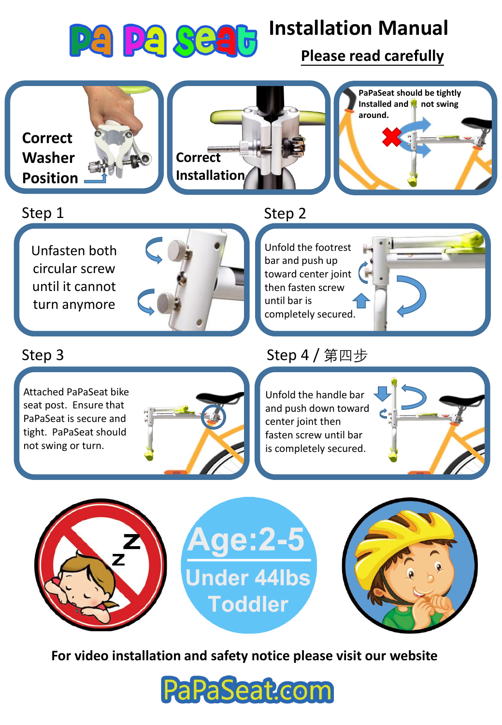

# **Installation Manual**

**Please read carefully**



## Step 1

Unfasten both circular screw until it cannot turn anymore



#### Step 2



## Step 3

Attached PaPaSeat bike seat post. Ensure that PaPaSeat is secure and tight. PaPaSeat should not swing or turn.



# Step 4 / 第四步

Unfold the handle bar and push down toward center joint then fasten screw until bar is completely secured.







**For video installation and safety notice please visit our website**